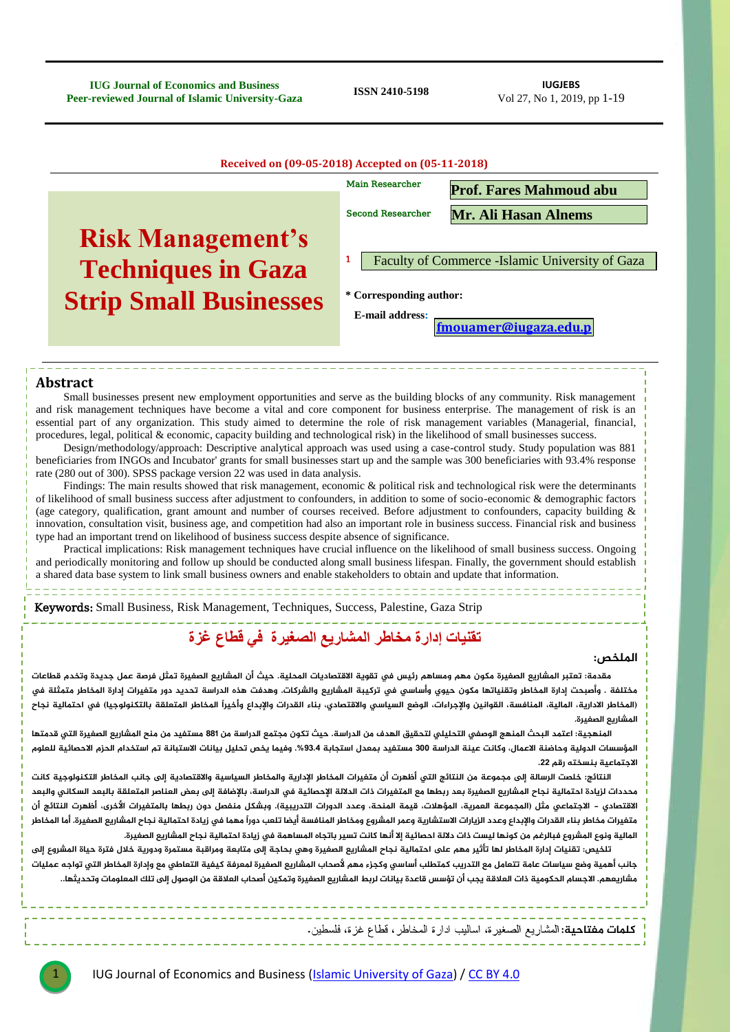**IUG Journal of Economics and Business Peer-reviewed Journal of Economics and Business**<br>**Peer-reviewed Journal of Islamic University-Gaza ISSN 2410-5198 ISSN 2610-27, No 1, 2019** 

Vol 27, No 1, 2019, pp 1-19

| Received on (09-05-2018) Accepted on (05-11-2018) |                                                  |                                |  |  |  |
|---------------------------------------------------|--------------------------------------------------|--------------------------------|--|--|--|
|                                                   | <b>Main Researcher</b>                           | <b>Prof. Fares Mahmoud abu</b> |  |  |  |
|                                                   | <b>Second Researcher</b>                         | <b>Mr. Ali Hasan Alnems</b>    |  |  |  |
| <b>Risk Management's</b>                          |                                                  |                                |  |  |  |
| <b>Techniques in Gaza</b>                         | Faculty of Commerce - Islamic University of Gaza |                                |  |  |  |
| <b>Strip Small Businesses</b>                     | * Corresponding author:                          |                                |  |  |  |
|                                                   | <b>E-mail address:</b>                           | fmouamer@iugaza.edu.p          |  |  |  |
|                                                   |                                                  |                                |  |  |  |

#### **Abstract**

Small businesses present new employment opportunities and serve as the building blocks of any community. Risk management and risk management techniques have become a vital and core component for business enterprise. The management of risk is an essential part of any organization. This study aimed to determine the role of risk management variables (Managerial, financial, procedures, legal, political & economic, capacity building and technological risk) in the likelihood of small businesses success.

Design/methodology/approach: Descriptive analytical approach was used using a case-control study. Study population was 881 beneficiaries from INGOs and Incubator' grants for small businesses start up and the sample was 300 beneficiaries with 93.4% response rate (280 out of 300). SPSS package version 22 was used in data analysis.

Findings: The main results showed that risk management, economic & political risk and technological risk were the determinants of likelihood of small business success after adjustment to confounders, in addition to some of socio-economic & demographic factors (age category, qualification, grant amount and number of courses received. Before adjustment to confounders, capacity building & innovation, consultation visit, business age, and competition had also an important role in business success. Financial risk and business type had an important trend on likelihood of business success despite absence of significance.

Practical implications: Risk management techniques have crucial influence on the likelihood of small business success. Ongoing and periodically monitoring and follow up should be conducted along small business lifespan. Finally, the government should establish a shared data base system to link small business owners and enable stakeholders to obtain and update that information.

Keywords: Small Business, Risk Management, Techniques, Success, Palestine, Gaza Strip

## **تقنيات إدارة مخاطر المشاريع الصغيرة في قطاع غزة**

#### **املوخص:**

مقدمة: تعتبر المشاريع الصغيرة مكون مهم ومساهم رئيس في تقوية الاقتصاديات المحلية. حيث أن المشاريع الصغيرة تمثل فرصة عمل جديدة وتخدم قطاعات مختلفة . وأصبحت إدارة المخاطر وتقنياتها مكون حيوي وأساسي في تركيبة المشاريع والشركات. وهدفت هذه الدراسة تحديد دور متغيرات إدارة المخاطر متمثلة في (المخاطر الادارية، المالية، المنافسة، القوانين والإجراءات، الوضع السياسى والاقتصادى، بناء القدرات والإبداع وأخيراً المخاطر المتعلقة بالتكنولوجيا) فى احتمالية نجاح المشاريع الصغيرة.

المنهجية؛ اعتمد البحث المنهج الوصفى التحليلى لتحقيق الهدف من الدراسة. حيث تكون مجتمع الدراسة من 881 مستفيد من منح المشاريع الصغيرة التى قدمتها المؤسسات الدولية وحاضنة الاعمال، وكانت عينة الدراسة 300 مستغيد بمعدل استجابة 93.4%. وفيما يخص تحليل بيانات الاستبانة تم استخدام الحزم الاحصائية للعلوم الاجتما*عية بنسخته رقم* 22.

النتائج: خلصت الرسالة إلى مجموعة من النتائج التي أظهرت أن متغيرات المخاطر الإدارية والمخاطر السياسية والاقتصادية إلى جانب المخاطر التكنولوجية كانت محددات لزيادة احتمالية نجاح المشاريع الصغيرة بعد ربطها مع المتغيرات ذات الدلالة الإحصائية في الدراسة، بالإضافة إلى بعض العناصر المتعلقة بالبعد السكاني والبعد الاقتصادي – الاجتماعي مثل (المجموعة العمرية، المؤهلات، قيمة المنحة، وعدد الدورات التدريبية). وبشكل منفصل دون ربطها بالمتغيرات الأخرى، أظهرت النتائج أن متغيرات مخاطر بناء القدرات والإبداع وعدد الزيارات الاستشارية وعمر المشروع ومخاطر المنافسة أيضا تلعب دوراً مهما في زيادة احتمالية نجاح المشاريع الصغيرة. أما المخاطر المالية ونوع المشروع فبالرغم من كونها ليست ذات دلالة احصائية إلا أنها كانت تسير باتجاه المساهمة في زيادة احتمالية نجاح المشاريع الصغيرة.

تلخيص: تقنيات إدارة المخاطر لها تأثير مهم على احتمالية نجاح المشاريع الصغيرة وهي بحاجة إلى متابعة ومراقبة مستمرة ودورية خلال فترة حياة المشروع إلى جانب أهمية وضع سياسات عامة تتعامل مع التدريب كمتطلب أساسي وكجزء مهم لأصحاب المشاريع الصغيرة لمعرفة كيفية التعاطي مع وإدارة المخاطر التي تواجه عمليات .<br>مشاريعهم. الاجسام الحكومية ذات العلاقة يجب أن تؤسس قاعدة بيانات لربط المشاريع الصغيرة وتمكين أصحاب العلاقة من الوصول إلى تلك المعلومات وتحديثها..

**كلمات مفتاحية:** المشاريع الصغيرة، اساليب ادارة المخاطر ، قطاع غزة، فلسطين.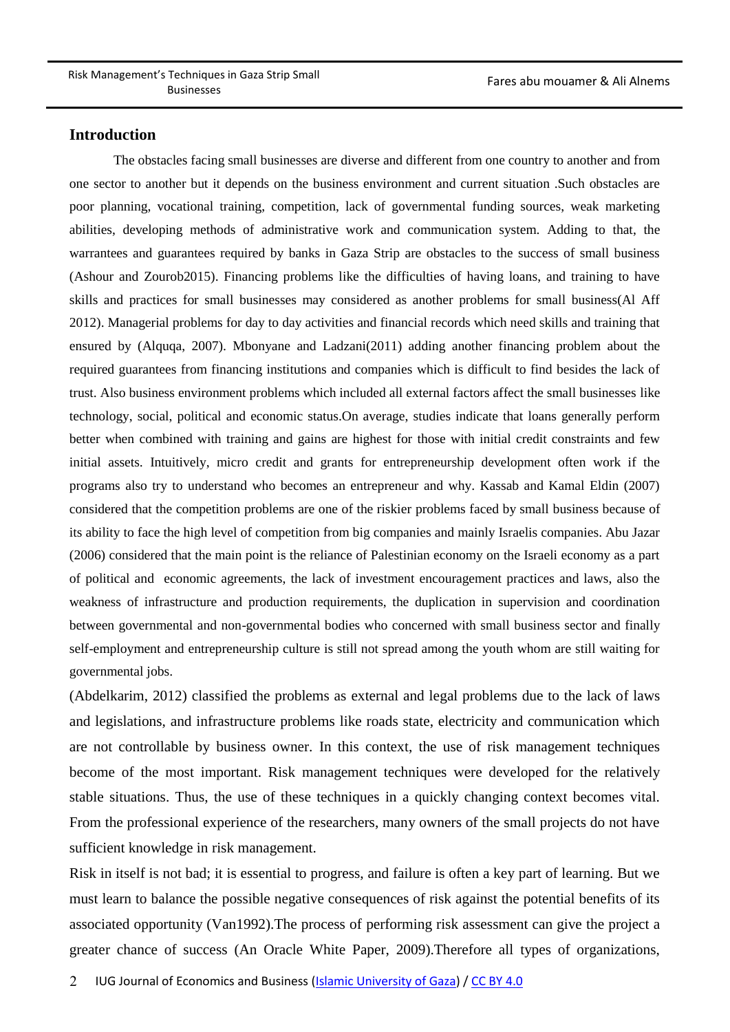#### **Introduction**

The obstacles facing small businesses are diverse and different from one country to another and from one sector to another but it depends on the business environment and current situation .Such obstacles are poor planning, vocational training, competition, lack of governmental funding sources, weak marketing abilities, developing methods of administrative work and communication system. Adding to that, the warrantees and guarantees required by banks in Gaza Strip are obstacles to the success of small business (Ashour and Zourob2015). Financing problems like the difficulties of having loans, and training to have skills and practices for small businesses may considered as another problems for small business(Al Aff 2012). Managerial problems for day to day activities and financial records which need skills and training that ensured by (Alquqa, 2007). Mbonyane and Ladzani(2011) adding another financing problem about the required guarantees from financing institutions and companies which is difficult to find besides the lack of trust. Also business environment problems which included all external factors affect the small businesses like technology, social, political and economic status.On average, studies indicate that loans generally perform better when combined with training and gains are highest for those with initial credit constraints and few initial assets. Intuitively, micro credit and grants for entrepreneurship development often work if the programs also try to understand who becomes an entrepreneur and why. Kassab and Kamal Eldin (2007) considered that the competition problems are one of the riskier problems faced by small business because of its ability to face the high level of competition from big companies and mainly Israelis companies. Abu Jazar (2006) considered that the main point is the reliance of Palestinian economy on the Israeli economy as a part of political and economic agreements, the lack of investment encouragement practices and laws, also the weakness of infrastructure and production requirements, the duplication in supervision and coordination between governmental and non-governmental bodies who concerned with small business sector and finally self-employment and entrepreneurship culture is still not spread among the youth whom are still waiting for governmental jobs.

(Abdelkarim, 2012) classified the problems as external and legal problems due to the lack of laws and legislations, and infrastructure problems like roads state, electricity and communication which are not controllable by business owner. In this context, the use of risk management techniques become of the most important. Risk management techniques were developed for the relatively stable situations. Thus, the use of these techniques in a quickly changing context becomes vital. From the professional experience of the researchers, many owners of the small projects do not have sufficient knowledge in risk management.

Risk in itself is not bad; it is essential to progress, and failure is often a key part of learning. But we must learn to balance the possible negative consequences of risk against the potential benefits of its associated opportunity (Van1992).The process of performing risk assessment can give the project a greater chance of success (An Oracle White Paper, 2009).Therefore all types of organizations,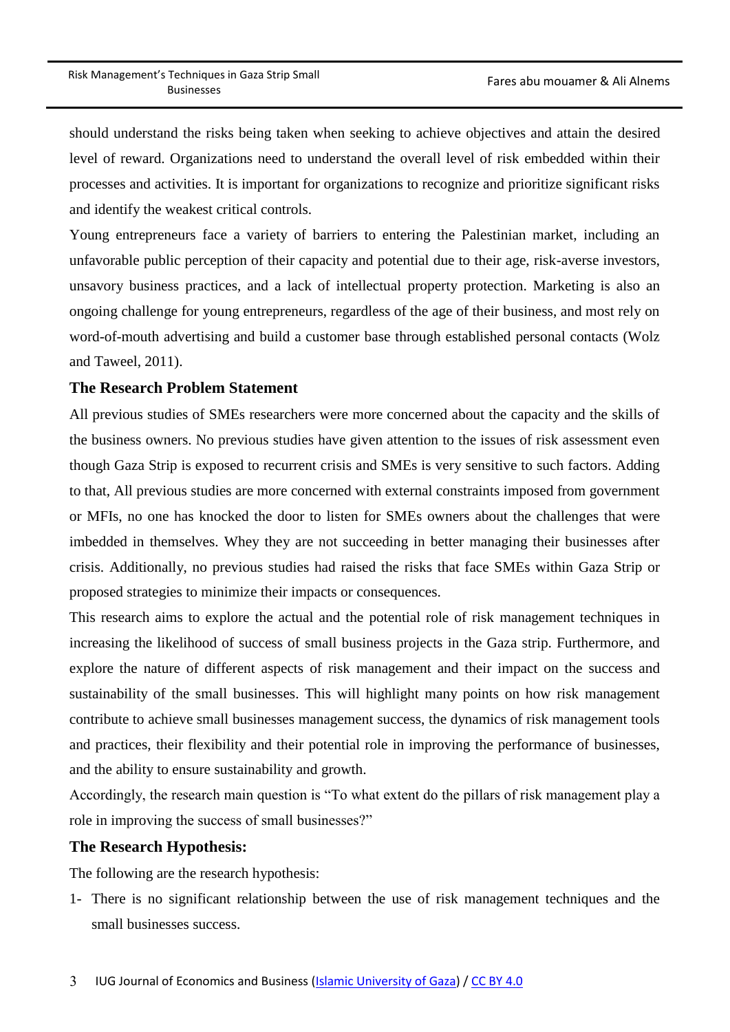should understand the risks being taken when seeking to achieve objectives and attain the desired level of reward. Organizations need to understand the overall level of risk embedded within their processes and activities. It is important for organizations to recognize and prioritize significant risks and identify the weakest critical controls.

Young entrepreneurs face a variety of barriers to entering the Palestinian market, including an unfavorable public perception of their capacity and potential due to their age, risk-averse investors, unsavory business practices, and a lack of intellectual property protection. Marketing is also an ongoing challenge for young entrepreneurs, regardless of the age of their business, and most rely on word-of-mouth advertising and build a customer base through established personal contacts (Wolz and Taweel, 2011).

### **The Research Problem Statement**

All previous studies of SMEs researchers were more concerned about the capacity and the skills of the business owners. No previous studies have given attention to the issues of risk assessment even though Gaza Strip is exposed to recurrent crisis and SMEs is very sensitive to such factors. Adding to that, All previous studies are more concerned with external constraints imposed from government or MFIs, no one has knocked the door to listen for SMEs owners about the challenges that were imbedded in themselves. Whey they are not succeeding in better managing their businesses after crisis. Additionally, no previous studies had raised the risks that face SMEs within Gaza Strip or proposed strategies to minimize their impacts or consequences.

This research aims to explore the actual and the potential role of risk management techniques in increasing the likelihood of success of small business projects in the Gaza strip. Furthermore, and explore the nature of different aspects of risk management and their impact on the success and sustainability of the small businesses. This will highlight many points on how risk management contribute to achieve small businesses management success, the dynamics of risk management tools and practices, their flexibility and their potential role in improving the performance of businesses, and the ability to ensure sustainability and growth.

Accordingly, the research main question is "To what extent do the pillars of risk management play a role in improving the success of small businesses?"

### **The Research Hypothesis:**

The following are the research hypothesis:

1- There is no significant relationship between the use of risk management techniques and the small businesses success.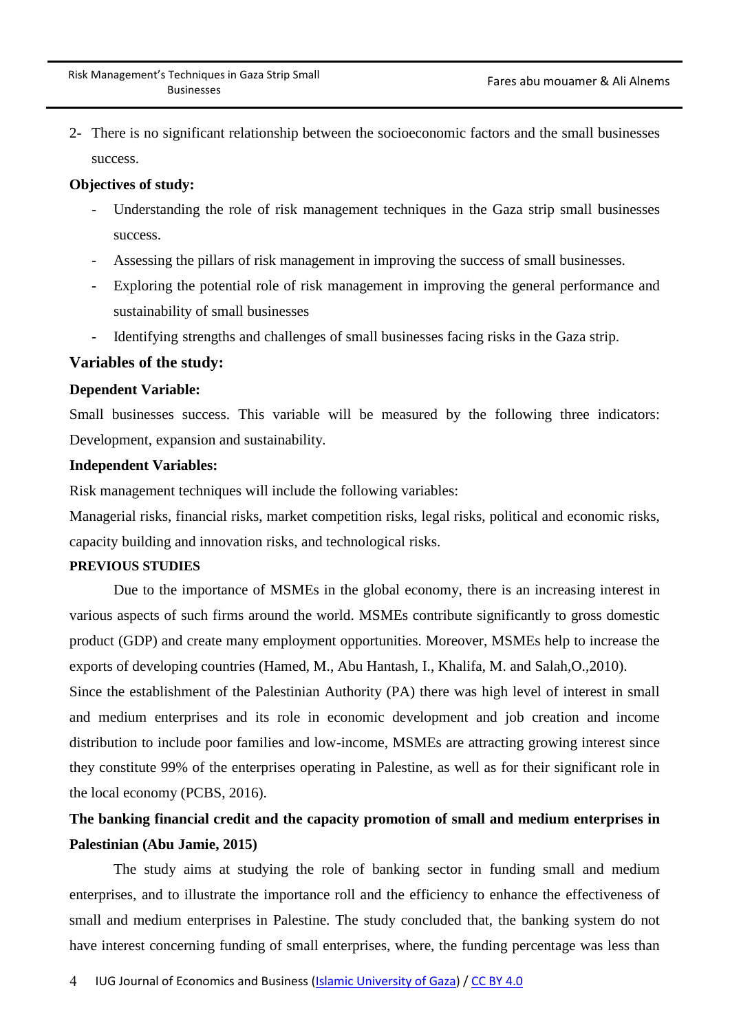2- There is no significant relationship between the socioeconomic factors and the small businesses success.

#### **Objectives of study:**

- Understanding the role of risk management techniques in the Gaza strip small businesses success.
- Assessing the pillars of risk management in improving the success of small businesses.
- Exploring the potential role of risk management in improving the general performance and sustainability of small businesses
- Identifying strengths and challenges of small businesses facing risks in the Gaza strip.

#### **Variables of the study:**

#### **Dependent Variable:**

Small businesses success. This variable will be measured by the following three indicators: Development, expansion and sustainability.

#### **Independent Variables:**

Risk management techniques will include the following variables:

Managerial risks, financial risks, market competition risks, legal risks, political and economic risks, capacity building and innovation risks, and technological risks.

#### **PREVIOUS STUDIES**

Due to the importance of MSMEs in the global economy, there is an increasing interest in various aspects of such firms around the world. MSMEs contribute significantly to gross domestic product (GDP) and create many employment opportunities. Moreover, MSMEs help to increase the exports of developing countries (Hamed, M., Abu Hantash, I., Khalifa, M. and Salah,O.,2010).

Since the establishment of the Palestinian Authority (PA) there was high level of interest in small and medium enterprises and its role in economic development and job creation and income distribution to include poor families and low-income, MSMEs are attracting growing interest since they constitute 99% of the enterprises operating in Palestine, as well as for their significant role in the local economy (PCBS, 2016).

## **The banking financial credit and the capacity promotion of small and medium enterprises in Palestinian (Abu Jamie, 2015)**

The study aims at studying the role of banking sector in funding small and medium enterprises, and to illustrate the importance roll and the efficiency to enhance the effectiveness of small and medium enterprises in Palestine. The study concluded that, the banking system do not have interest concerning funding of small enterprises, where, the funding percentage was less than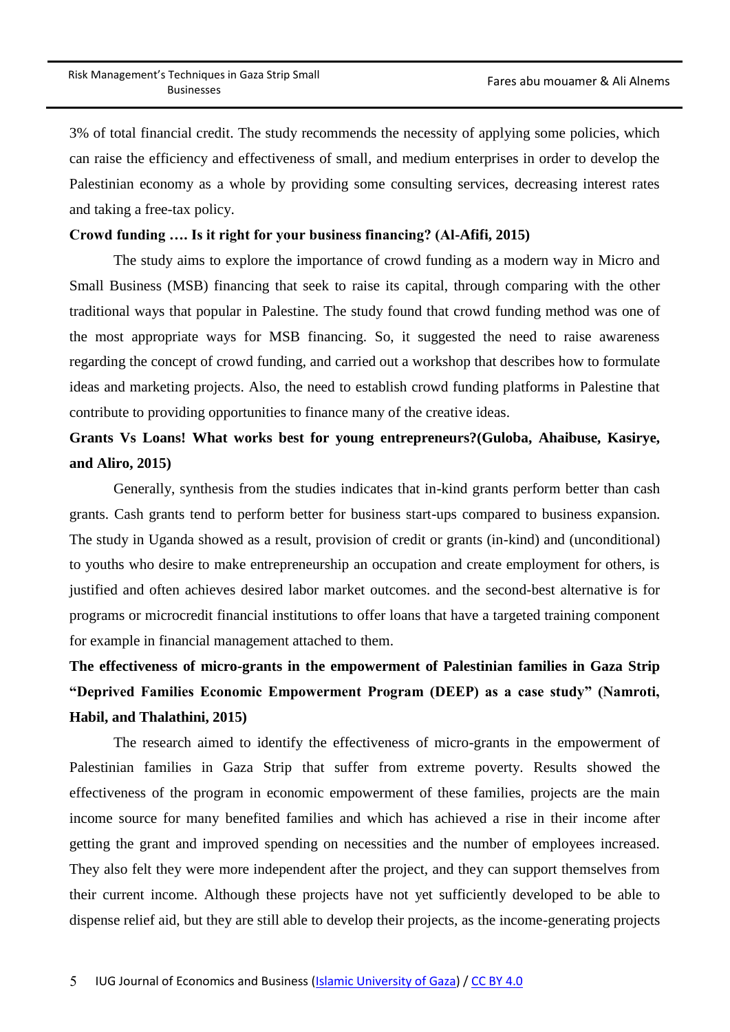3% of total financial credit. The study recommends the necessity of applying some policies, which can raise the efficiency and effectiveness of small, and medium enterprises in order to develop the Palestinian economy as a whole by providing some consulting services, decreasing interest rates and taking a free-tax policy.

#### **Crowd funding …. Is it right for your business financing? (Al-Afifi, 2015)**

The study aims to explore the importance of crowd funding as a modern way in Micro and Small Business (MSB) financing that seek to raise its capital, through comparing with the other traditional ways that popular in Palestine. The study found that crowd funding method was one of the most appropriate ways for MSB financing. So, it suggested the need to raise awareness regarding the concept of crowd funding, and carried out a workshop that describes how to formulate ideas and marketing projects. Also, the need to establish crowd funding platforms in Palestine that contribute to providing opportunities to finance many of the creative ideas.

## **Grants Vs Loans! What works best for young entrepreneurs?(Guloba, Ahaibuse, Kasirye, and Aliro, 2015)**

Generally, synthesis from the studies indicates that in-kind grants perform better than cash grants. Cash grants tend to perform better for business start-ups compared to business expansion. The study in Uganda showed as a result, provision of credit or grants (in-kind) and (unconditional) to youths who desire to make entrepreneurship an occupation and create employment for others, is justified and often achieves desired labor market outcomes. and the second-best alternative is for programs or microcredit financial institutions to offer loans that have a targeted training component for example in financial management attached to them.

# **The effectiveness of micro-grants in the empowerment of Palestinian families in Gaza Strip "Deprived Families Economic Empowerment Program (DEEP) as a case study" (Namroti, Habil, and Thalathini, 2015)**

The research aimed to identify the effectiveness of micro-grants in the empowerment of Palestinian families in Gaza Strip that suffer from extreme poverty. Results showed the effectiveness of the program in economic empowerment of these families, projects are the main income source for many benefited families and which has achieved a rise in their income after getting the grant and improved spending on necessities and the number of employees increased. They also felt they were more independent after the project, and they can support themselves from their current income. Although these projects have not yet sufficiently developed to be able to dispense relief aid, but they are still able to develop their projects, as the income-generating projects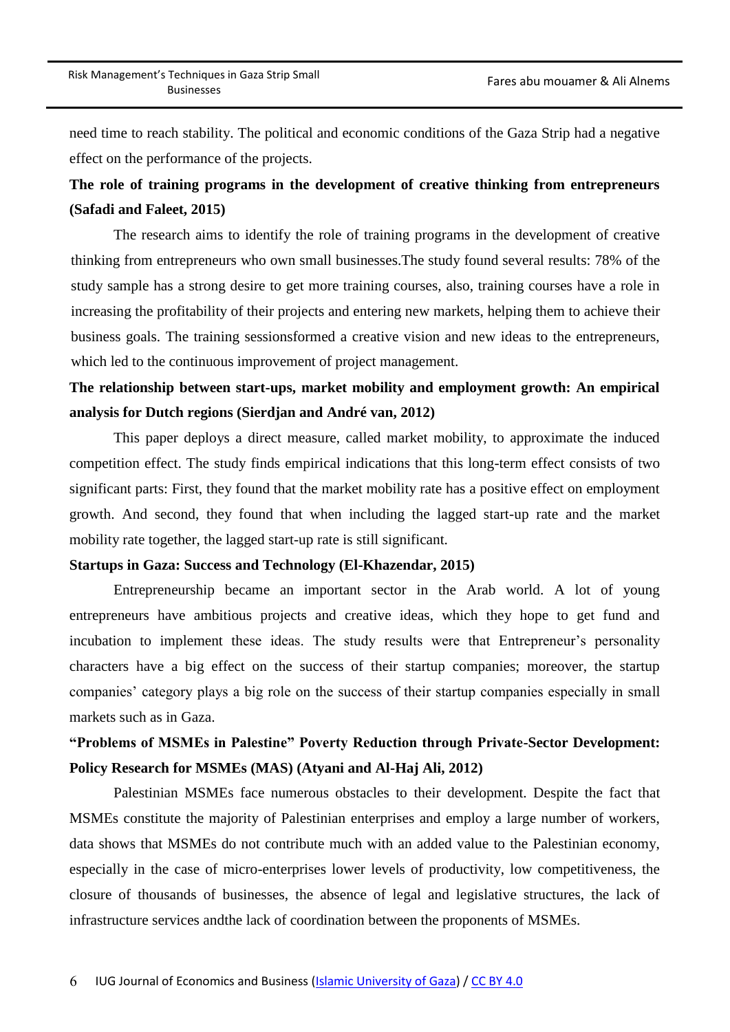need time to reach stability. The political and economic conditions of the Gaza Strip had a negative effect on the performance of the projects.

### **The role of training programs in the development of creative thinking from entrepreneurs (Safadi and Faleet, 2015)**

The research aims to identify the role of training programs in the development of creative thinking from entrepreneurs who own small businesses.The study found several results: 78% of the study sample has a strong desire to get more training courses, also, training courses have a role in increasing the profitability of their projects and entering new markets, helping them to achieve their business goals. The training sessionsformed a creative vision and new ideas to the entrepreneurs, which led to the continuous improvement of project management.

### **The relationship between start-ups, market mobility and employment growth: An empirical analysis for Dutch regions (Sierdjan and André van, 2012)**

This paper deploys a direct measure, called market mobility, to approximate the induced competition effect. The study finds empirical indications that this long-term effect consists of two significant parts: First, they found that the market mobility rate has a positive effect on employment growth. And second, they found that when including the lagged start-up rate and the market mobility rate together, the lagged start-up rate is still significant.

#### **Startups in Gaza: Success and Technology (El-Khazendar, 2015)**

Entrepreneurship became an important sector in the Arab world. A lot of young entrepreneurs have ambitious projects and creative ideas, which they hope to get fund and incubation to implement these ideas. The study results were that Entrepreneur's personality characters have a big effect on the success of their startup companies; moreover, the startup companies' category plays a big role on the success of their startup companies especially in small markets such as in Gaza.

### **"Problems of MSMEs in Palestine" Poverty Reduction through Private-Sector Development: Policy Research for MSMEs (MAS) (Atyani and Al-Haj Ali, 2012)**

Palestinian MSMEs face numerous obstacles to their development. Despite the fact that MSMEs constitute the majority of Palestinian enterprises and employ a large number of workers, data shows that MSMEs do not contribute much with an added value to the Palestinian economy, especially in the case of micro-enterprises lower levels of productivity, low competitiveness, the closure of thousands of businesses, the absence of legal and legislative structures, the lack of infrastructure services andthe lack of coordination between the proponents of MSMEs.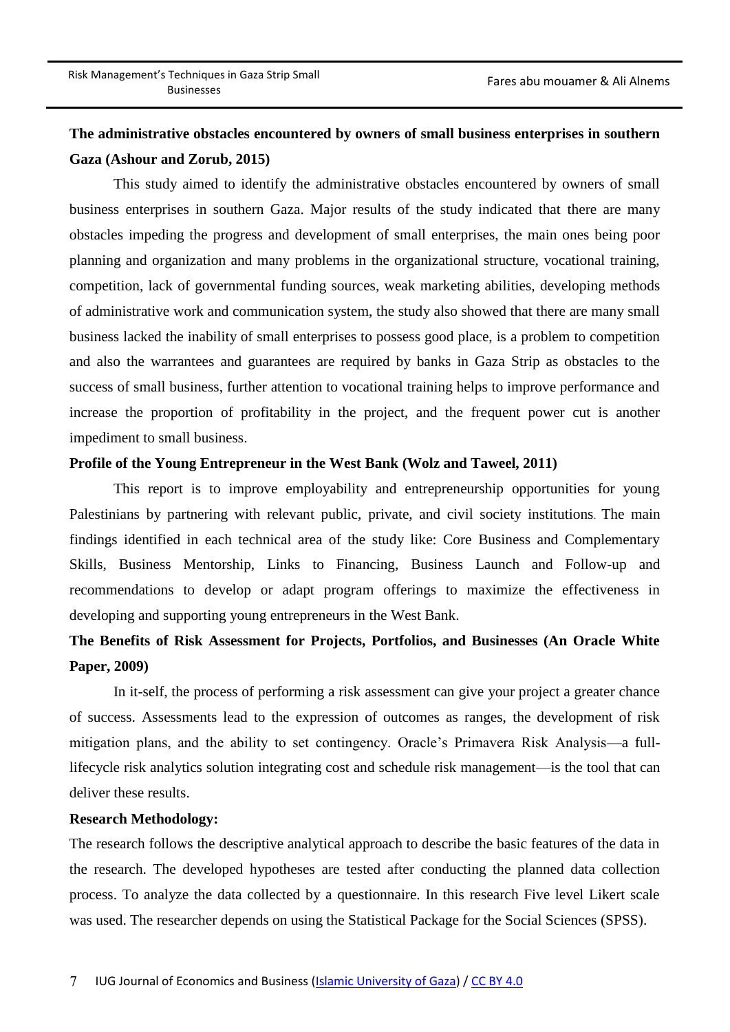## **The administrative obstacles encountered by owners of small business enterprises in southern Gaza (Ashour and Zorub, 2015)**

This study aimed to identify the administrative obstacles encountered by owners of small business enterprises in southern Gaza. Major results of the study indicated that there are many obstacles impeding the progress and development of small enterprises, the main ones being poor planning and organization and many problems in the organizational structure, vocational training, competition, lack of governmental funding sources, weak marketing abilities, developing methods of administrative work and communication system, the study also showed that there are many small business lacked the inability of small enterprises to possess good place, is a problem to competition and also the warrantees and guarantees are required by banks in Gaza Strip as obstacles to the success of small business, further attention to vocational training helps to improve performance and increase the proportion of profitability in the project, and the frequent power cut is another impediment to small business.

#### **Profile of the Young Entrepreneur in the West Bank (Wolz and Taweel, 2011)**

This report is to improve employability and entrepreneurship opportunities for young Palestinians by partnering with relevant public, private, and civil society institutions. The main findings identified in each technical area of the study like: Core Business and Complementary Skills, Business Mentorship, Links to Financing, Business Launch and Follow-up and recommendations to develop or adapt program offerings to maximize the effectiveness in developing and supporting young entrepreneurs in the West Bank.

## **The Benefits of Risk Assessment for Projects, Portfolios, and Businesses (An Oracle White Paper, 2009)**

In it-self, the process of performing a risk assessment can give your project a greater chance of success. Assessments lead to the expression of outcomes as ranges, the development of risk mitigation plans, and the ability to set contingency. Oracle's Primavera Risk Analysis—a fulllifecycle risk analytics solution integrating cost and schedule risk management—is the tool that can deliver these results.

#### **Research Methodology:**

The research follows the descriptive analytical approach to describe the basic features of the data in the research. The developed hypotheses are tested after conducting the planned data collection process. To analyze the data collected by a questionnaire. In this research Five level Likert scale was used. The researcher depends on using the Statistical Package for the Social Sciences (SPSS).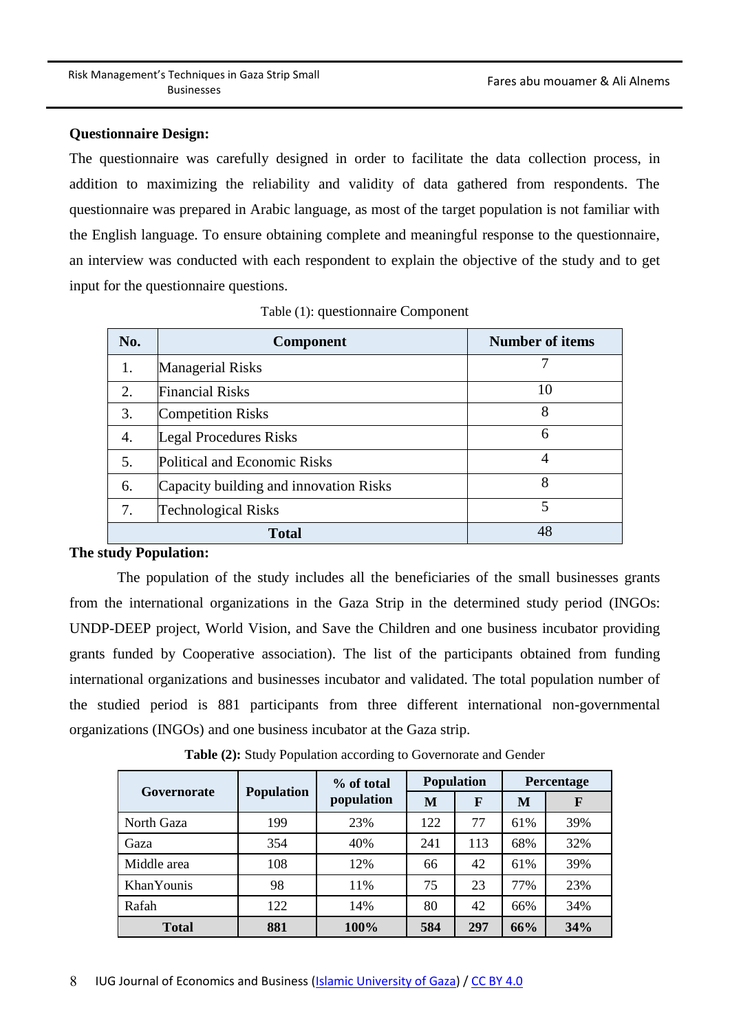#### **Questionnaire Design:**

The questionnaire was carefully designed in order to facilitate the data collection process, in addition to maximizing the reliability and validity of data gathered from respondents. The questionnaire was prepared in Arabic language, as most of the target population is not familiar with the English language. To ensure obtaining complete and meaningful response to the questionnaire, an interview was conducted with each respondent to explain the objective of the study and to get input for the questionnaire questions.

| No. | <b>Component</b>                       | <b>Number of items</b> |
|-----|----------------------------------------|------------------------|
| 1.  | <b>Managerial Risks</b>                |                        |
| 2.  | <b>Financial Risks</b>                 | 10                     |
| 3.  | <b>Competition Risks</b>               | 8                      |
| 4.  | Legal Procedures Risks                 | 6                      |
| 5.  | Political and Economic Risks           | 4                      |
| 6.  | Capacity building and innovation Risks | 8                      |
| 7.  | <b>Technological Risks</b>             | 5                      |
|     | <b>Total</b>                           | 48                     |

Table (1): questionnaire Component

#### **The study Population:**

The population of the study includes all the beneficiaries of the small businesses grants from the international organizations in the Gaza Strip in the determined study period (INGOs: UNDP-DEEP project, World Vision, and Save the Children and one business incubator providing grants funded by Cooperative association). The list of the participants obtained from funding international organizations and businesses incubator and validated. The total population number of the studied period is 881 participants from three different international non-governmental organizations (INGOs) and one business incubator at the Gaza strip.

|              |                   | % of total<br>population | <b>Population</b> |     | Percentage |     |
|--------------|-------------------|--------------------------|-------------------|-----|------------|-----|
| Governorate  | <b>Population</b> |                          | М                 | F   | M          | F   |
| North Gaza   | 199               | 23%                      | 122               | 77  | 61%        | 39% |
| Gaza         | 354               | 40%                      | 241               | 113 | 68%        | 32% |
| Middle area  | 108               | 12%                      | 66                | 42  | 61%        | 39% |
| KhanYounis   | 98                | 11%                      | 75                | 23  | 77%        | 23% |
| Rafah        | 122               | 14%                      | 80                | 42  | 66%        | 34% |
| <b>Total</b> | 881               | 100%                     | 584               | 297 | 66%        | 34% |

**Table (2):** Study Population according to Governorate and Gender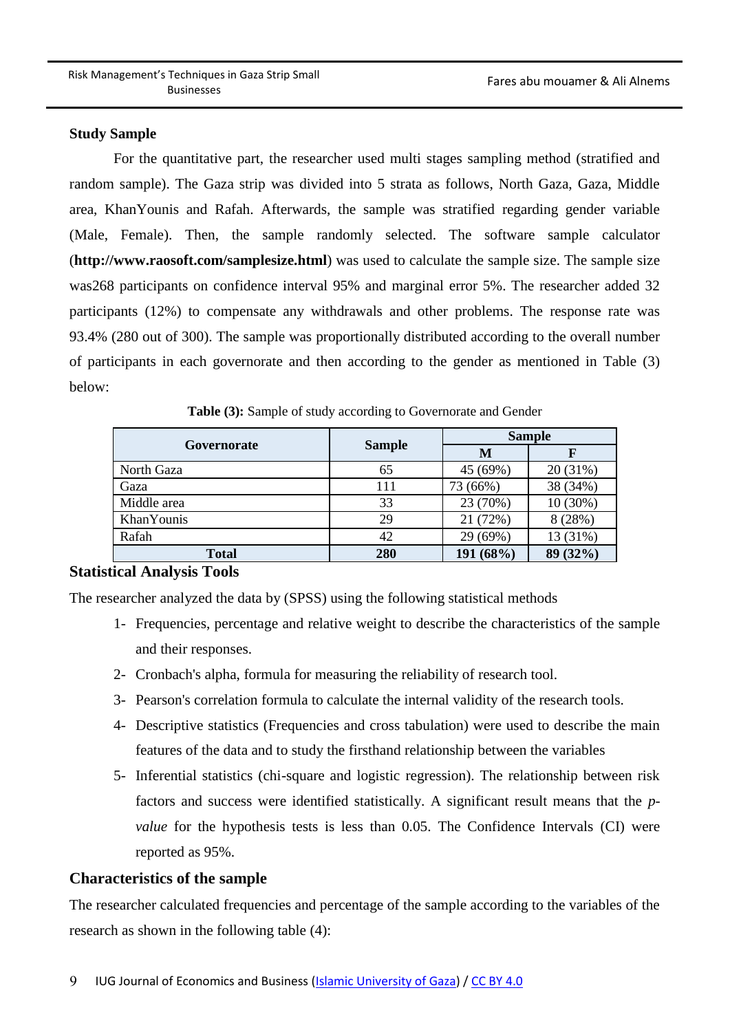#### **Study Sample**

For the quantitative part, the researcher used multi stages sampling method (stratified and random sample). The Gaza strip was divided into 5 strata as follows, North Gaza, Gaza, Middle area, KhanYounis and Rafah. Afterwards, the sample was stratified regarding gender variable (Male, Female). Then, the sample randomly selected. The software sample calculator (**<http://www.raosoft.com/samplesize.html>**) was used to calculate the sample size. The sample size was268 participants on confidence interval 95% and marginal error 5%. The researcher added 32 participants (12%) to compensate any withdrawals and other problems. The response rate was 93.4% (280 out of 300). The sample was proportionally distributed according to the overall number of participants in each governorate and then according to the gender as mentioned in Table (3) below:

|                    |               | <b>Sample</b> |          |  |  |
|--------------------|---------------|---------------|----------|--|--|
| Governorate        | <b>Sample</b> | M             |          |  |  |
| North Gaza         | 65            | 45 (69%)      | 20 (31%) |  |  |
| Gaza               | 111           | 73 (66%)      | 38 (34%) |  |  |
| Middle area        | 33            | 23 (70%)      | 10(30%)  |  |  |
| <b>Khan Younis</b> | 29            | 21 (72%)      | 8(28%)   |  |  |
| Rafah              | 42            | 29 (69%)      | 13 (31%) |  |  |
| <b>Total</b>       | 280           | 191 (68%)     | 89 (32%) |  |  |

**Table (3):** Sample of study according to Governorate and Gender

### **Statistical Analysis Tools**

The researcher analyzed the data by (SPSS) using the following statistical methods

- 1- Frequencies, percentage and relative weight to describe the characteristics of the sample and their responses.
- 2- Cronbach's alpha, formula for measuring the reliability of research tool.
- 3- Pearson's correlation formula to calculate the internal validity of the research tools.
- 4- Descriptive statistics (Frequencies and cross tabulation) were used to describe the main features of the data and to study the firsthand relationship between the variables
- 5- Inferential statistics (chi-square and logistic regression). The relationship between risk factors and success were identified statistically. A significant result means that the *pvalue* for the hypothesis tests is less than 0.05. The Confidence Intervals (CI) were reported as 95%.

### **Characteristics of the sample**

The researcher calculated frequencies and percentage of the sample according to the variables of the research as shown in the following table (4):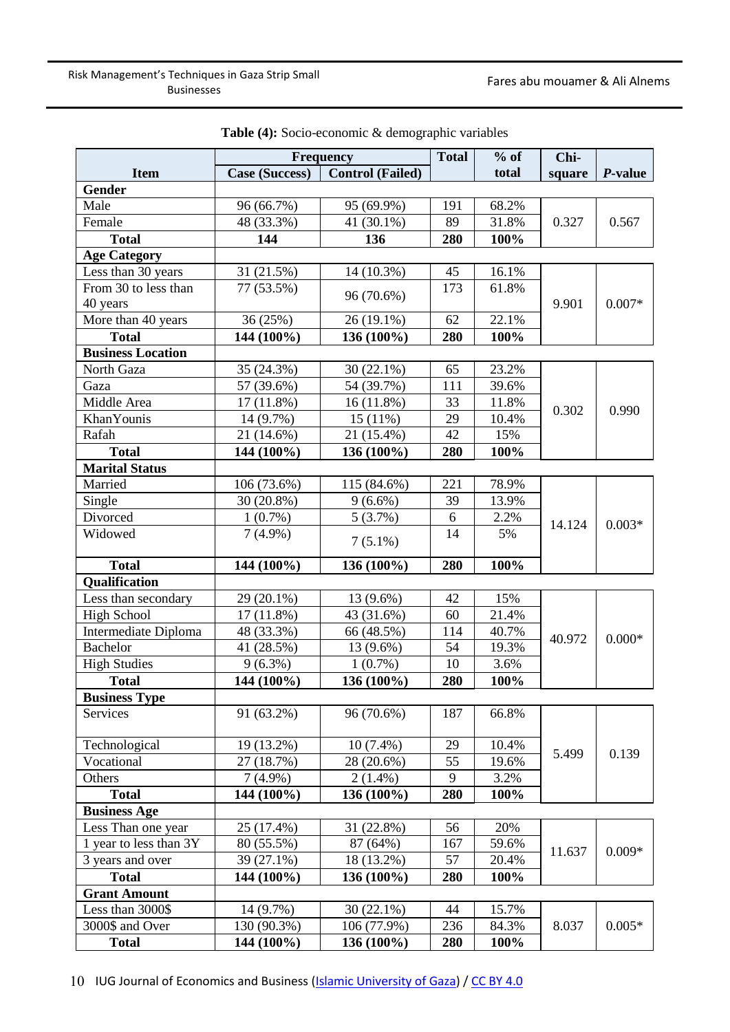|                                     | Frequency             |                         | <b>Total</b> | $%$ of | Chi-   |                 |
|-------------------------------------|-----------------------|-------------------------|--------------|--------|--------|-----------------|
| <b>Item</b>                         | <b>Case (Success)</b> | <b>Control (Failed)</b> |              | total  | square | <i>P</i> -value |
| Gender                              |                       |                         |              |        |        |                 |
| Male                                | 96 (66.7%)            | 95 (69.9%)              | 191          | 68.2%  |        |                 |
| Female                              | 48 (33.3%)            | 41 (30.1%)              | 89           | 31.8%  | 0.327  | 0.567           |
| <b>Total</b>                        | 144                   | 136                     | 280          | 100%   |        |                 |
| <b>Age Category</b>                 |                       |                         |              |        |        |                 |
| Less than 30 years                  | 31 (21.5%)            | 14 (10.3%)              | 45           | 16.1%  |        |                 |
| From 30 to less than                | 77 (53.5%)            |                         | 173          | 61.8%  |        |                 |
| 40 years                            |                       | 96 (70.6%)              |              |        | 9.901  | $0.007*$        |
| More than 40 years                  | 36 (25%)              | 26 (19.1%)              | 62           | 22.1%  |        |                 |
| <b>Total</b>                        | 144 (100%)            | 136 (100%)              | 280          | 100%   |        |                 |
| <b>Business Location</b>            |                       |                         |              |        |        |                 |
| North Gaza                          | 35 (24.3%)            | $30(22.1\%)$            | 65           | 23.2%  |        |                 |
| Gaza                                | 57 (39.6%)            | 54 (39.7%)              | 111          | 39.6%  |        |                 |
| Middle Area                         | 17 (11.8%)            | $16(11.8\%)$            | 33           | 11.8%  |        |                 |
| KhanYounis                          | 14 (9.7%)             | 15(11%)                 | 29           | 10.4%  | 0.302  | 0.990           |
| Rafah                               | 21 (14.6%)            | 21 (15.4%)              | 42           | 15%    |        |                 |
| <b>Total</b>                        | 144 (100%)            | 136 (100%)              | 280          | 100%   |        |                 |
| <b>Marital Status</b>               |                       |                         |              |        |        |                 |
| Married                             | 106 (73.6%)           | 115 (84.6%)             | 221          | 78.9%  |        |                 |
| Single                              | 30 (20.8%)            | $9(6.6\%)$              | 39           | 13.9%  |        | $0.003*$        |
| Divorced                            | $1(0.7\%)$            | 5(3.7%)                 | 6            | 2.2%   |        |                 |
| Widowed                             | $7(4.9\%)$            |                         | 14           | 5%     | 14.124 |                 |
|                                     |                       | $7(5.1\%)$              |              |        |        |                 |
| <b>Total</b>                        | 144 (100%)            | 136 (100%)              | 280          | 100%   |        |                 |
| Qualification                       |                       |                         |              |        |        |                 |
| Less than secondary                 | 29 (20.1%)            | 13 (9.6%)               | 42           | 15%    |        |                 |
| <b>High School</b>                  | 17 (11.8%)            | 43 (31.6%)              | 60           | 21.4%  |        |                 |
| Intermediate Diploma                | 48 (33.3%)            | 66 (48.5%)              | 114          | 40.7%  |        |                 |
| <b>Bachelor</b>                     | 41 (28.5%)            | 13 (9.6%)               | 54           | 19.3%  | 40.972 | $0.000*$        |
| <b>High Studies</b>                 | $9(6.3\%)$            | $1(0.7\%)$              | 10           | 3.6%   |        |                 |
| <b>Total</b>                        | 144 (100%)            | 136 (100%)              | 280          | 100%   |        |                 |
| <b>Business Type</b>                |                       |                         |              |        |        |                 |
| Services                            | 91 (63.2%)            | 96 (70.6%)              | 187          | 66.8%  |        |                 |
| Technological                       | 19 (13.2%)            | $10(7.4\%)$             | 29           | 10.4%  |        |                 |
| Vocational                          | 27 (18.7%)            | 28 (20.6%)              | 55           | 19.6%  | 5.499  | 0.139           |
| Others                              | $7(4.9\%)$            | $2(1.4\%)$              | 9            | 3.2%   |        |                 |
| <b>Total</b>                        | 144 (100%)            | 136 (100%)              | 280          | 100%   |        |                 |
| <b>Business Age</b>                 |                       |                         |              |        |        |                 |
| Less Than one year                  | 25 (17.4%)            | 31 (22.8%)              | 56           | 20%    |        |                 |
| 1 year to less than $3\overline{Y}$ | 80 (55.5%)            | 87 (64%)                | 167          | 59.6%  |        |                 |
| 3 years and over                    | 39 (27.1%)            | 18 (13.2%)              | 57           | 20.4%  | 11.637 | $0.009*$        |
| <b>Total</b>                        | 144 (100%)            | 136 (100%)              | 280          | 100%   |        |                 |
| <b>Grant Amount</b>                 |                       |                         |              |        |        |                 |
| Less than 3000\$                    | 14 (9.7%)             | $30(22.1\%)$            | 44           | 15.7%  |        |                 |
| 3000\$ and Over                     | 130 (90.3%)           | 106 (77.9%)             | 236          | 84.3%  | 8.037  | $0.005*$        |
| <b>Total</b>                        | 144 (100%)            | 136 (100%)              | 280          | 100%   |        |                 |

**Table (4):** Socio-economic & demographic variables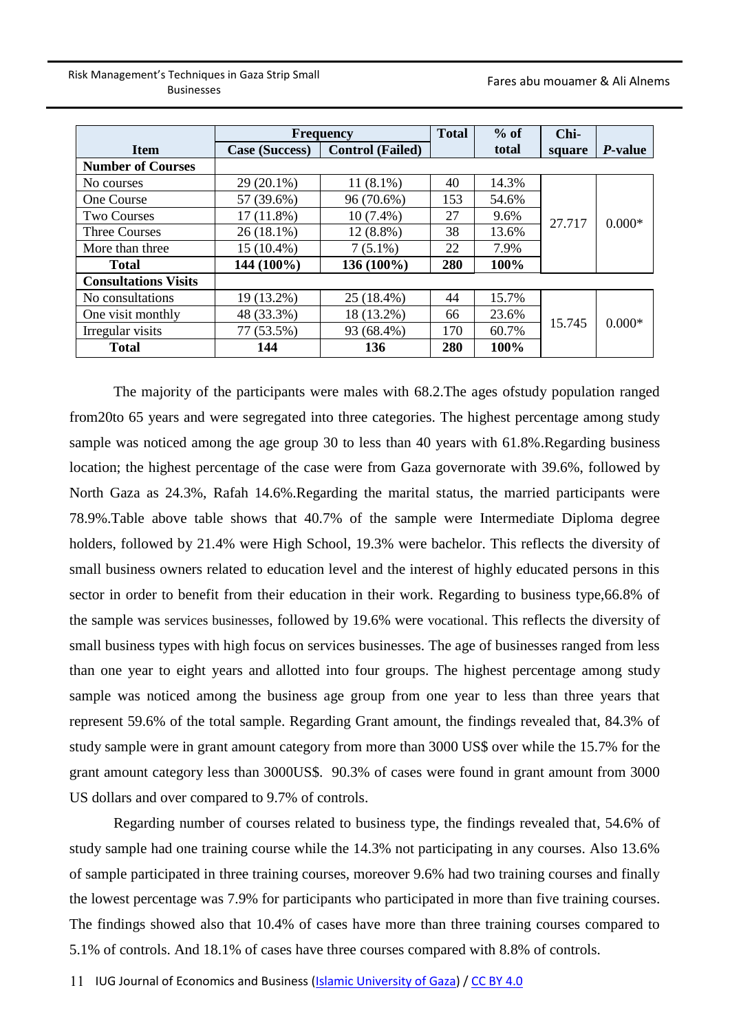|                             | <b>Frequency</b>                                 |             | <b>Total</b> | $%$ of | Chi-   |                 |
|-----------------------------|--------------------------------------------------|-------------|--------------|--------|--------|-----------------|
| <b>Item</b>                 | <b>Control</b> (Failed)<br><b>Case (Success)</b> |             |              | total  | square | <i>P</i> -value |
| <b>Number of Courses</b>    |                                                  |             |              |        |        |                 |
| No courses                  | $29(20.1\%)$                                     | $11(8.1\%)$ | 40           | 14.3%  |        |                 |
| One Course                  | 57 (39.6%)                                       | 96 (70.6%)  | 153          | 54.6%  |        |                 |
| <b>Two Courses</b>          | $17(11.8\%)$                                     | $10(7.4\%)$ | 27           | 9.6%   | 27.717 | $0.000*$        |
| <b>Three Courses</b>        | $26(18.1\%)$                                     | $12(8.8\%)$ | 38           | 13.6%  |        |                 |
| More than three             | 15 (10.4%)                                       | $7(5.1\%)$  | 22           | 7.9%   |        |                 |
| <b>Total</b>                | 144 (100%)                                       | 136 (100%)  | 280          | 100%   |        |                 |
| <b>Consultations Visits</b> |                                                  |             |              |        |        |                 |
| No consultations            | 19 (13.2%)                                       | 25 (18.4%)  | 44           | 15.7%  |        |                 |
| One visit monthly           | 48 (33.3%)                                       | 18 (13.2%)  | 66           | 23.6%  |        |                 |
| Irregular visits            | 77 (53.5%)                                       | 93 (68.4%)  | 170          | 60.7%  | 15.745 | $0.000*$        |
| <b>Total</b>                | 144                                              | 136         | 280          | 100%   |        |                 |

The majority of the participants were males with 68.2.The ages ofstudy population ranged from20to 65 years and were segregated into three categories. The highest percentage among study sample was noticed among the age group 30 to less than 40 years with 61.8%.Regarding business location; the highest percentage of the case were from Gaza governorate with 39.6%, followed by North Gaza as 24.3%, Rafah 14.6%.Regarding the marital status, the married participants were 78.9%.Table above table shows that 40.7% of the sample were Intermediate Diploma degree holders, followed by 21.4% were High School, 19.3% were bachelor. This reflects the diversity of small business owners related to education level and the interest of highly educated persons in this sector in order to benefit from their education in their work. Regarding to business type,66.8% of the sample was services businesses, followed by 19.6% were vocational. This reflects the diversity of small business types with high focus on services businesses. The age of businesses ranged from less than one year to eight years and allotted into four groups. The highest percentage among study sample was noticed among the business age group from one year to less than three years that represent 59.6% of the total sample. Regarding Grant amount, the findings revealed that, 84.3% of study sample were in grant amount category from more than 3000 US\$ over while the 15.7% for the grant amount category less than 3000US\$. 90.3% of cases were found in grant amount from 3000 US dollars and over compared to 9.7% of controls.

Regarding number of courses related to business type, the findings revealed that, 54.6% of study sample had one training course while the 14.3% not participating in any courses. Also 13.6% of sample participated in three training courses, moreover 9.6% had two training courses and finally the lowest percentage was 7.9% for participants who participated in more than five training courses. The findings showed also that 10.4% of cases have more than three training courses compared to 5.1% of controls. And 18.1% of cases have three courses compared with 8.8% of controls.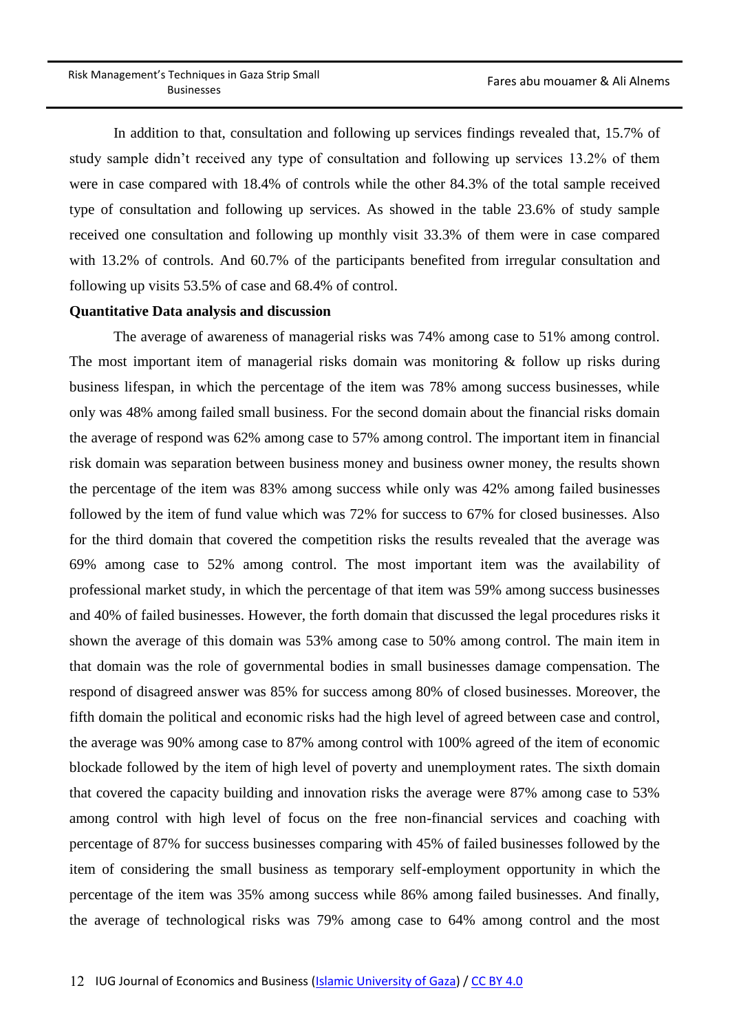In addition to that, consultation and following up services findings revealed that, 15.7% of study sample didn't received any type of consultation and following up services 13.2% of them were in case compared with 18.4% of controls while the other 84.3% of the total sample received type of consultation and following up services. As showed in the table 23.6% of study sample received one consultation and following up monthly visit 33.3% of them were in case compared with 13.2% of controls. And 60.7% of the participants benefited from irregular consultation and following up visits 53.5% of case and 68.4% of control.

#### **Quantitative Data analysis and discussion**

The average of awareness of managerial risks was 74% among case to 51% among control. The most important item of managerial risks domain was monitoring & follow up risks during business lifespan, in which the percentage of the item was 78% among success businesses, while only was 48% among failed small business. For the second domain about the financial risks domain the average of respond was 62% among case to 57% among control. The important item in financial risk domain was separation between business money and business owner money, the results shown the percentage of the item was 83% among success while only was 42% among failed businesses followed by the item of fund value which was 72% for success to 67% for closed businesses. Also for the third domain that covered the competition risks the results revealed that the average was 69% among case to 52% among control. The most important item was the availability of professional market study, in which the percentage of that item was 59% among success businesses and 40% of failed businesses. However, the forth domain that discussed the legal procedures risks it shown the average of this domain was 53% among case to 50% among control. The main item in that domain was the role of governmental bodies in small businesses damage compensation. The respond of disagreed answer was 85% for success among 80% of closed businesses. Moreover, the fifth domain the political and economic risks had the high level of agreed between case and control, the average was 90% among case to 87% among control with 100% agreed of the item of economic blockade followed by the item of high level of poverty and unemployment rates. The sixth domain that covered the capacity building and innovation risks the average were 87% among case to 53% among control with high level of focus on the free non-financial services and coaching with percentage of 87% for success businesses comparing with 45% of failed businesses followed by the item of considering the small business as temporary self-employment opportunity in which the percentage of the item was 35% among success while 86% among failed businesses. And finally, the average of technological risks was 79% among case to 64% among control and the most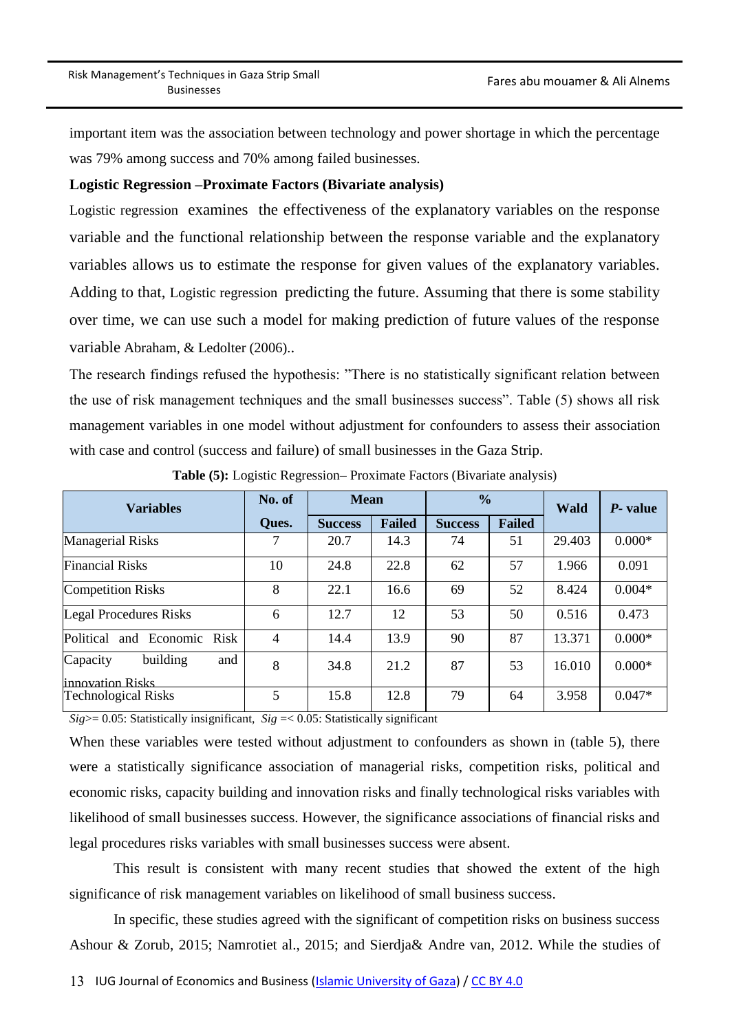important item was the association between technology and power shortage in which the percentage was 79% among success and 70% among failed businesses.

#### **Logistic Regression –Proximate Factors (Bivariate analysis)**

Logistic regression examines the effectiveness of the explanatory variables on the response variable and the functional relationship between the response variable and the explanatory variables allows us to estimate the response for given values of the explanatory variables. Adding to that, Logistic regression predicting the future. Assuming that there is some stability over time, we can use such a model for making prediction of future values of the response variable Abraham, & Ledolter (2006)..

The research findings refused the hypothesis: "There is no statistically significant relation between the use of risk management techniques and the small businesses success". Table (5) shows all risk management variables in one model without adjustment for confounders to assess their association with case and control (success and failure) of small businesses in the Gaza Strip.

| <b>Variables</b>                                | No. of         | <b>Mean</b>    |               | $\frac{0}{0}$  |               | <b>Wald</b> | <i>P</i> - value |
|-------------------------------------------------|----------------|----------------|---------------|----------------|---------------|-------------|------------------|
|                                                 | Ques.          | <b>Success</b> | <b>Failed</b> | <b>Success</b> | <b>Failed</b> |             |                  |
| <b>Managerial Risks</b>                         | 7              | 20.7           | 14.3          | 74             | 51            | 29.403      | $0.000*$         |
| <b>Financial Risks</b>                          | 10             | 24.8           | 22.8          | 62             | 57            | 1.966       | 0.091            |
| <b>Competition Risks</b>                        | 8              | 22.1           | 16.6          | 69             | 52            | 8.424       | $0.004*$         |
| <b>Legal Procedures Risks</b>                   | 6              | 12.7           | 12            | 53             | 50            | 0.516       | 0.473            |
| Political<br>and Economic<br><b>Risk</b>        | $\overline{4}$ | 14.4           | 13.9          | 90             | 87            | 13.371      | $0.000*$         |
| building<br>Capacity<br>and                     | 8              | 34.8           | 21.2          | 87             | 53            | 16.010      | $0.000*$         |
| linnovation Risks<br><b>Technological Risks</b> | 5              | 15.8           | 12.8          | 79             | 64            | 3.958       | $0.047*$         |

**Table (5):** Logistic Regression– Proximate Factors (Bivariate analysis)

 $Sig$   $> = 0.05$ : Statistically insignificant,  $Sig$  =  $< 0.05$ : Statistically significant

When these variables were tested without adjustment to confounders as shown in (table 5), there were a statistically significance association of managerial risks, competition risks, political and economic risks, capacity building and innovation risks and finally technological risks variables with likelihood of small businesses success. However, the significance associations of financial risks and legal procedures risks variables with small businesses success were absent.

This result is consistent with many recent studies that showed the extent of the high significance of risk management variables on likelihood of small business success.

In specific, these studies agreed with the significant of competition risks on business success Ashour & Zorub, 2015; Namrotiet al., 2015; and Sierdja& Andre van, 2012. While the studies of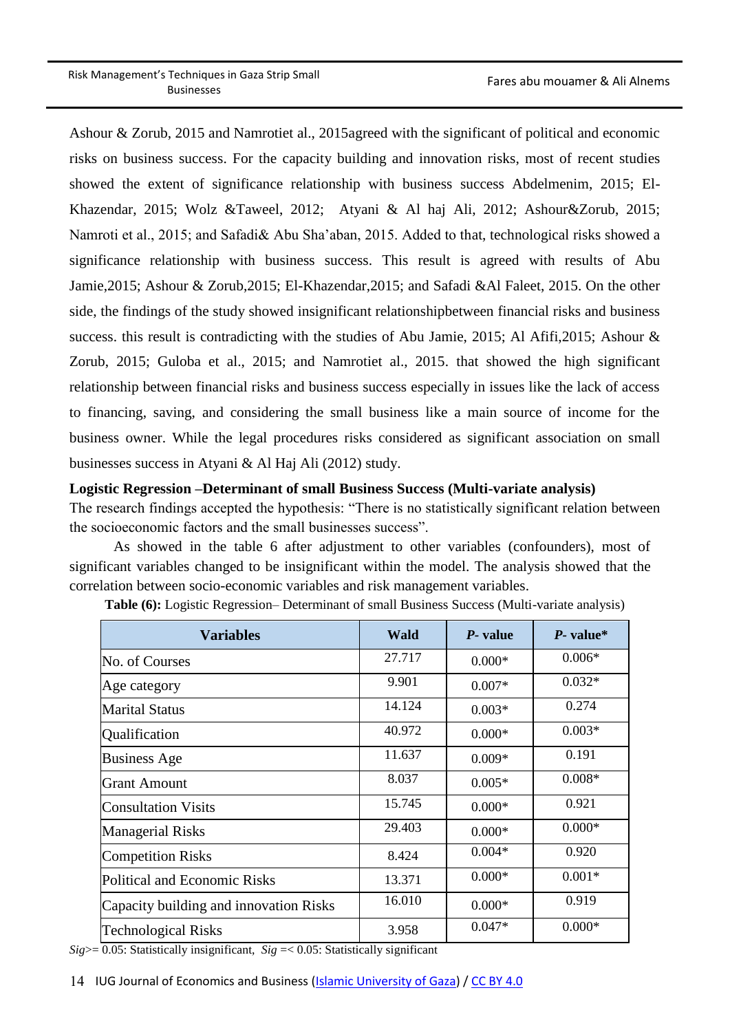Ashour & Zorub, 2015 and Namrotiet al., 2015agreed with the significant of political and economic risks on business success. For the capacity building and innovation risks, most of recent studies showed the extent of significance relationship with business success Abdelmenim, 2015; El-Khazendar, 2015; Wolz &Taweel, 2012; Atyani & Al haj Ali, 2012; Ashour&Zorub, 2015; Namroti et al., 2015; and Safadi& Abu Sha'aban, 2015. Added to that, technological risks showed a significance relationship with business success. This result is agreed with results of Abu Jamie,2015; Ashour & Zorub,2015; El-Khazendar,2015; and Safadi &Al Faleet, 2015. On the other side, the findings of the study showed insignificant relationshipbetween financial risks and business success. this result is contradicting with the studies of Abu Jamie, 2015; Al Afifi, 2015; Ashour & Zorub, 2015; Guloba et al., 2015; and Namrotiet al., 2015. that showed the high significant relationship between financial risks and business success especially in issues like the lack of access to financing, saving, and considering the small business like a main source of income for the business owner. While the legal procedures risks considered as significant association on small businesses success in Atyani & Al Haj Ali (2012) study.

#### **Logistic Regression –Determinant of small Business Success (Multi-variate analysis)**

The research findings accepted the hypothesis: "There is no statistically significant relation between the socioeconomic factors and the small businesses success".

As showed in the table 6 after adjustment to other variables (confounders), most of significant variables changed to be insignificant within the model. The analysis showed that the correlation between socio-economic variables and risk management variables.

| <b>Variables</b>                       | Wald   | <i>P</i> - value | $P$ - value* |
|----------------------------------------|--------|------------------|--------------|
| No. of Courses                         | 27.717 | $0.000*$         | $0.006*$     |
| Age category                           | 9.901  | $0.007*$         | $0.032*$     |
| <b>Marital Status</b>                  | 14.124 | $0.003*$         | 0.274        |
| Qualification                          | 40.972 | $0.000*$         | $0.003*$     |
| <b>Business Age</b>                    | 11.637 | $0.009*$         | 0.191        |
| <b>Grant Amount</b>                    | 8.037  | $0.005*$         | $0.008*$     |
| <b>Consultation Visits</b>             | 15.745 | $0.000*$         | 0.921        |
| <b>Managerial Risks</b>                | 29.403 | $0.000*$         | $0.000*$     |
| <b>Competition Risks</b>               | 8.424  | $0.004*$         | 0.920        |
| Political and Economic Risks           | 13.371 | $0.000*$         | $0.001*$     |
| Capacity building and innovation Risks | 16.010 | $0.000*$         | 0.919        |
| <b>Technological Risks</b>             | 3.958  | $0.047*$         | $0.000*$     |

**Table (6):** Logistic Regression– Determinant of small Business Success (Multi-variate analysis)

*Sig*>= 0.05: Statistically insignificant, *Sig* =< 0.05: Statistically significant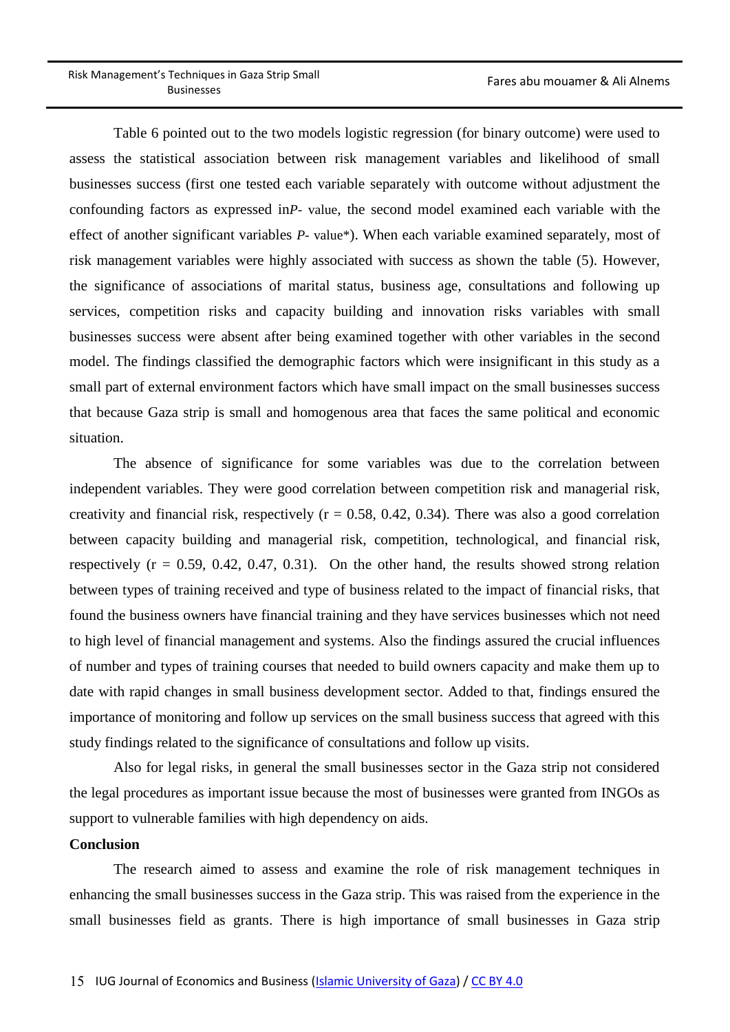Table 6 pointed out to the two models logistic regression (for binary outcome) were used to assess the statistical association between risk management variables and likelihood of small businesses success (first one tested each variable separately with outcome without adjustment the confounding factors as expressed in*P-* value, the second model examined each variable with the effect of another significant variables *P-* value\*). When each variable examined separately, most of risk management variables were highly associated with success as shown the table (5). However, the significance of associations of marital status, business age, consultations and following up services, competition risks and capacity building and innovation risks variables with small businesses success were absent after being examined together with other variables in the second model. The findings classified the demographic factors which were insignificant in this study as a small part of external environment factors which have small impact on the small businesses success that because Gaza strip is small and homogenous area that faces the same political and economic situation.

The absence of significance for some variables was due to the correlation between independent variables. They were good correlation between competition risk and managerial risk, creativity and financial risk, respectively  $(r = 0.58, 0.42, 0.34)$ . There was also a good correlation between capacity building and managerial risk, competition, technological, and financial risk, respectively  $(r = 0.59, 0.42, 0.47, 0.31)$ . On the other hand, the results showed strong relation between types of training received and type of business related to the impact of financial risks, that found the business owners have financial training and they have services businesses which not need to high level of financial management and systems. Also the findings assured the crucial influences of number and types of training courses that needed to build owners capacity and make them up to date with rapid changes in small business development sector. Added to that, findings ensured the importance of monitoring and follow up services on the small business success that agreed with this study findings related to the significance of consultations and follow up visits.

Also for legal risks, in general the small businesses sector in the Gaza strip not considered the legal procedures as important issue because the most of businesses were granted from INGOs as support to vulnerable families with high dependency on aids.

#### **Conclusion**

The research aimed to assess and examine the role of risk management techniques in enhancing the small businesses success in the Gaza strip. This was raised from the experience in the small businesses field as grants. There is high importance of small businesses in Gaza strip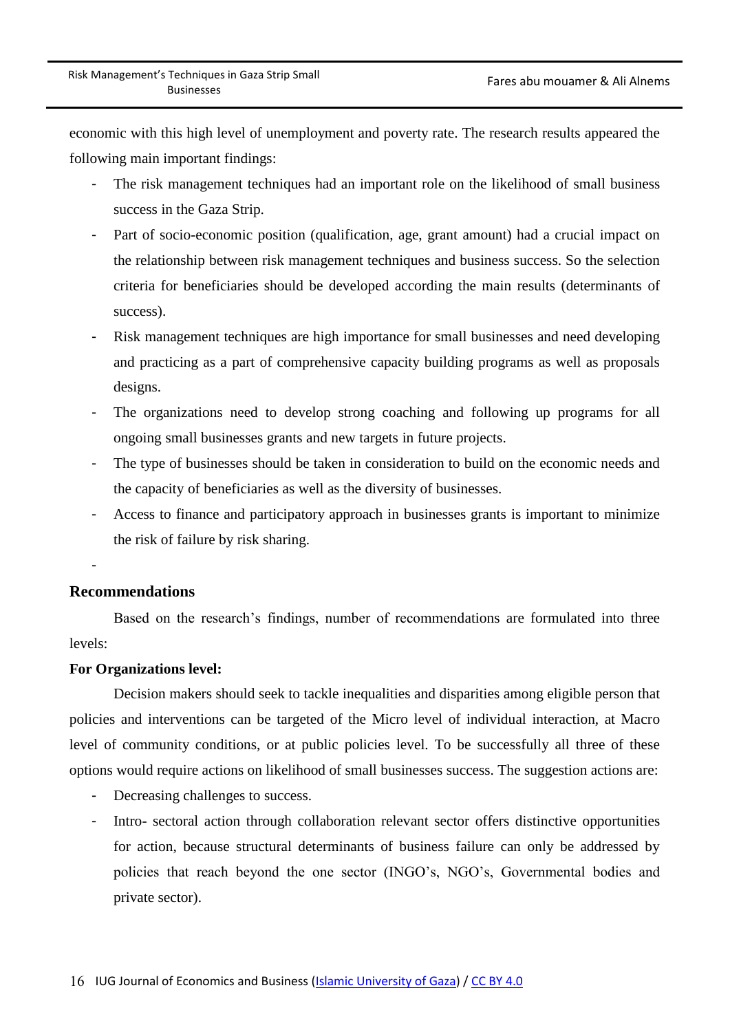economic with this high level of unemployment and poverty rate. The research results appeared the following main important findings:

- The risk management techniques had an important role on the likelihood of small business success in the Gaza Strip.
- Part of socio-economic position (qualification, age, grant amount) had a crucial impact on the relationship between risk management techniques and business success. So the selection criteria for beneficiaries should be developed according the main results (determinants of success).
- Risk management techniques are high importance for small businesses and need developing and practicing as a part of comprehensive capacity building programs as well as proposals designs.
- The organizations need to develop strong coaching and following up programs for all ongoing small businesses grants and new targets in future projects.
- The type of businesses should be taken in consideration to build on the economic needs and the capacity of beneficiaries as well as the diversity of businesses.
- Access to finance and participatory approach in businesses grants is important to minimize the risk of failure by risk sharing.

-

### **Recommendations**

Based on the research's findings, number of recommendations are formulated into three levels:

#### **For Organizations level:**

Decision makers should seek to tackle inequalities and disparities among eligible person that policies and interventions can be targeted of the Micro level of individual interaction, at Macro level of community conditions, or at public policies level. To be successfully all three of these options would require actions on likelihood of small businesses success. The suggestion actions are:

- Decreasing challenges to success.
- Intro- sectoral action through collaboration relevant sector offers distinctive opportunities for action, because structural determinants of business failure can only be addressed by policies that reach beyond the one sector (INGO's, NGO's, Governmental bodies and private sector).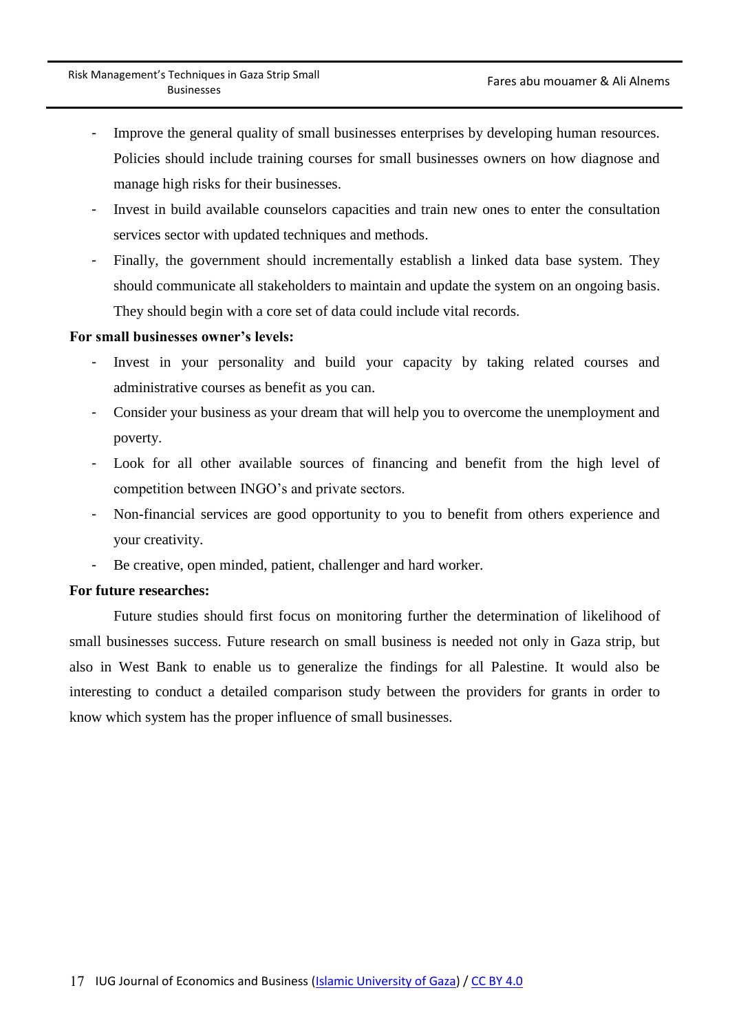- Improve the general quality of small businesses enterprises by developing human resources. Policies should include training courses for small businesses owners on how diagnose and manage high risks for their businesses.
- Invest in build available counselors capacities and train new ones to enter the consultation services sector with updated techniques and methods.
- Finally, the government should incrementally establish a linked data base system. They should communicate all stakeholders to maintain and update the system on an ongoing basis. They should begin with a core set of data could include vital records.

#### **For small businesses owner's levels:**

- Invest in your personality and build your capacity by taking related courses and administrative courses as benefit as you can.
- Consider your business as your dream that will help you to overcome the unemployment and poverty.
- Look for all other available sources of financing and benefit from the high level of competition between INGO's and private sectors.
- Non-financial services are good opportunity to you to benefit from others experience and your creativity.
- Be creative, open minded, patient, challenger and hard worker.

#### **For future researches:**

Future studies should first focus on monitoring further the determination of likelihood of small businesses success. Future research on small business is needed not only in Gaza strip, but also in West Bank to enable us to generalize the findings for all Palestine. It would also be interesting to conduct a detailed comparison study between the providers for grants in order to know which system has the proper influence of small businesses.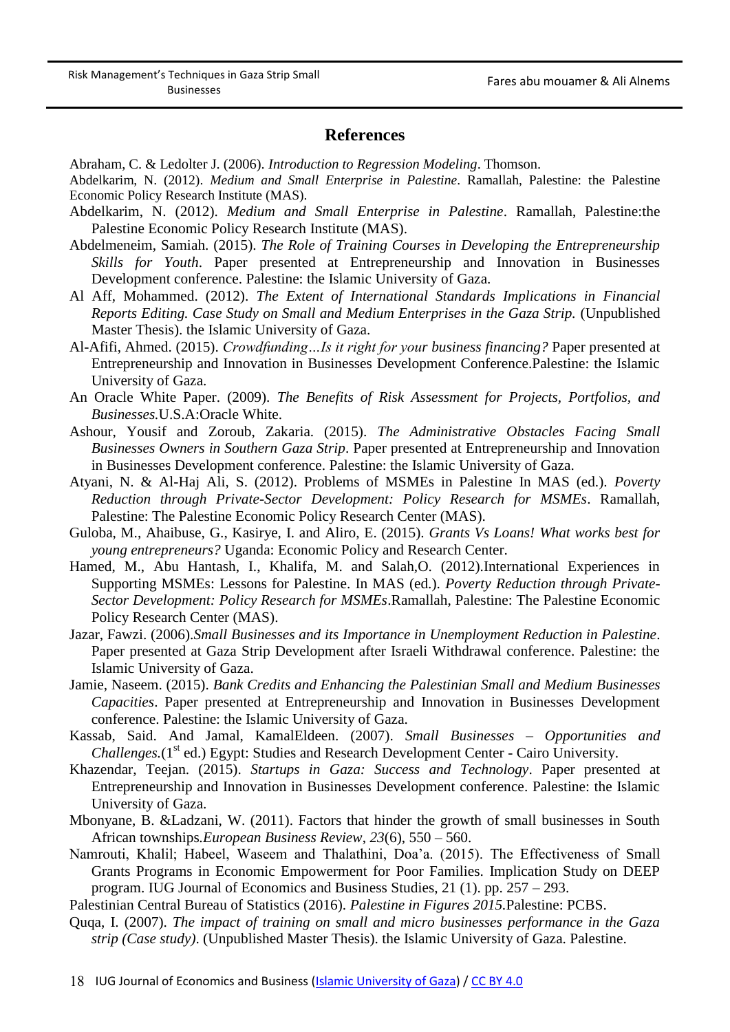#### **References**

Abraham, C. & Ledolter J. (2006). *Introduction to Regression Modeling*. Thomson.

Abdelkarim, N. (2012). *Medium and Small Enterprise in Palestine*. Ramallah, Palestine: the Palestine Economic Policy Research Institute (MAS).

- Abdelkarim, N. (2012). *Medium and Small Enterprise in Palestine*. Ramallah, Palestine:the Palestine Economic Policy Research Institute (MAS).
- Abdelmeneim, Samiah. (2015). *The Role of Training Courses in Developing the Entrepreneurship Skills for Youth*. Paper presented at Entrepreneurship and Innovation in Businesses Development conference. Palestine: the Islamic University of Gaza.
- Al Aff, Mohammed. (2012). *The Extent of International Standards Implications in Financial Reports Editing. Case Study on Small and Medium Enterprises in the Gaza Strip.* (Unpublished Master Thesis). the Islamic University of Gaza.
- Al-Afifi, Ahmed. (2015). *Crowdfunding…Is it right for your business financing?* Paper presented at Entrepreneurship and Innovation in Businesses Development Conference.Palestine: the Islamic University of Gaza.
- An Oracle White Paper. (2009). *The Benefits of Risk Assessment for Projects, Portfolios, and Businesses.*U.S.A:Oracle White.
- Ashour, Yousif and Zoroub, Zakaria. (2015). *The Administrative Obstacles Facing Small Businesses Owners in Southern Gaza Strip*. Paper presented at Entrepreneurship and Innovation in Businesses Development conference. Palestine: the Islamic University of Gaza.
- Atyani, N. & Al-Haj Ali, S. (2012). Problems of MSMEs in Palestine In MAS (ed.). *Poverty Reduction through Private-Sector Development: Policy Research for MSMEs*. Ramallah, Palestine: The Palestine Economic Policy Research Center (MAS).
- Guloba, M., Ahaibuse, G., Kasirye, I. and Aliro, E. (2015). *Grants Vs Loans! What works best for young entrepreneurs?* Uganda: Economic Policy and Research Center.
- Hamed, M., Abu Hantash, I., Khalifa, M. and Salah,O. (2012).International Experiences in Supporting MSMEs: Lessons for Palestine. In MAS (ed.). *Poverty Reduction through Private-Sector Development: Policy Research for MSMEs*.Ramallah, Palestine: The Palestine Economic Policy Research Center (MAS).
- Jazar, Fawzi. (2006).*Small Businesses and its Importance in Unemployment Reduction in Palestine*. Paper presented at Gaza Strip Development after Israeli Withdrawal conference. Palestine: the Islamic University of Gaza.
- Jamie, Naseem. (2015). *Bank Credits and Enhancing the Palestinian Small and Medium Businesses Capacities*. Paper presented at Entrepreneurship and Innovation in Businesses Development conference. Palestine: the Islamic University of Gaza.
- Kassab, Said. And Jamal, KamalEldeen. (2007). *Small Businesses – Opportunities and Challenges.*(1<sup>st</sup> ed.) Egypt: Studies and Research Development Center - Cairo University.
- Khazendar, Teejan. (2015). *Startups in Gaza: Success and Technology*. Paper presented at Entrepreneurship and Innovation in Businesses Development conference. Palestine: the Islamic University of Gaza.
- Mbonyane, B. &Ladzani, W. (2011). Factors that hinder the growth of small businesses in South African townships*.European Business Review*, *23*(6), 550 – 560.
- Namrouti, Khalil; Habeel, Waseem and Thalathini, Doa'a. (2015). The Effectiveness of Small Grants Programs in Economic Empowerment for Poor Families. Implication Study on DEEP program. IUG Journal of Economics and Business Studies, 21 (1). pp. 257 – 293.

Palestinian Central Bureau of Statistics (2016). *Palestine in Figures 2015.*Palestine: PCBS.

Quqa, I. (2007). *The impact of training on small and micro businesses performance in the Gaza strip (Case study)*. (Unpublished Master Thesis). the Islamic University of Gaza. Palestine.